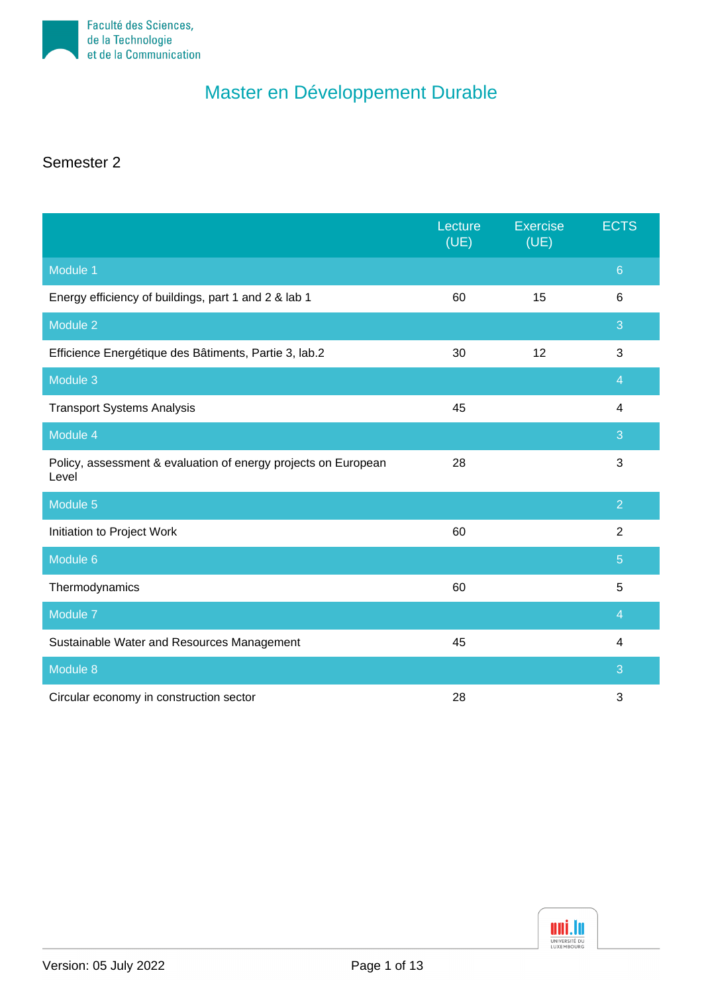

#### Semester 2

<span id="page-0-6"></span><span id="page-0-5"></span><span id="page-0-4"></span><span id="page-0-3"></span><span id="page-0-2"></span><span id="page-0-1"></span><span id="page-0-0"></span>

|                                                                         | Lecture<br>(UE) | <b>Exercise</b><br>(UE) | <b>ECTS</b>    |
|-------------------------------------------------------------------------|-----------------|-------------------------|----------------|
| Module 1                                                                |                 |                         | 6              |
| Energy efficiency of buildings, part 1 and 2 & lab 1                    | 60              | 15                      | 6              |
| Module 2                                                                |                 |                         | 3              |
| Efficience Energétique des Bâtiments, Partie 3, lab.2                   | 30              | 12                      | 3              |
| Module 3                                                                |                 |                         | $\overline{4}$ |
| <b>Transport Systems Analysis</b>                                       | 45              |                         | 4              |
| Module 4                                                                |                 |                         | 3              |
| Policy, assessment & evaluation of energy projects on European<br>Level | 28              |                         | 3              |
| Module 5                                                                |                 |                         | $\overline{2}$ |
| Initiation to Project Work                                              | 60              |                         | $\overline{2}$ |
| Module 6                                                                |                 |                         | $\overline{5}$ |
| Thermodynamics                                                          | 60              |                         | 5              |
| Module 7                                                                |                 |                         | $\overline{4}$ |
| Sustainable Water and Resources Management                              | 45              |                         | 4              |
| Module 8                                                                |                 |                         | 3              |
| Circular economy in construction sector                                 | 28              |                         | 3              |

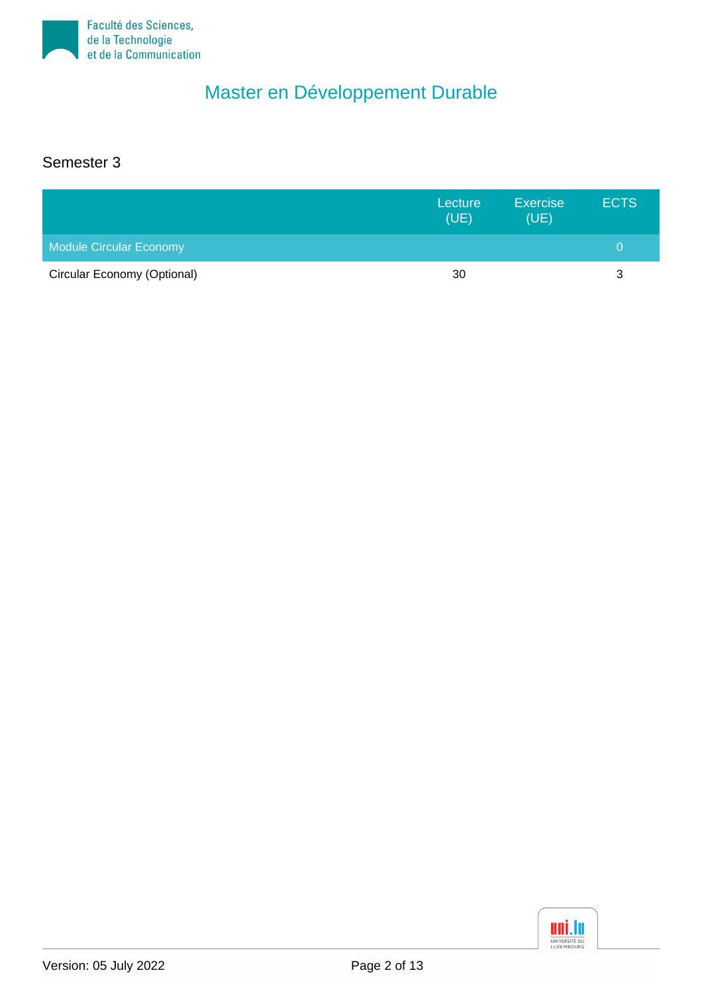

### Semester 3

<span id="page-1-0"></span>

|                                | Lecture<br>(UE) | <b>Exercise</b><br>(UE) | <b>ECTS</b> |
|--------------------------------|-----------------|-------------------------|-------------|
| <b>Module Circular Economy</b> |                 |                         | O           |
| Circular Economy (Optional)    | 30              |                         | 3           |

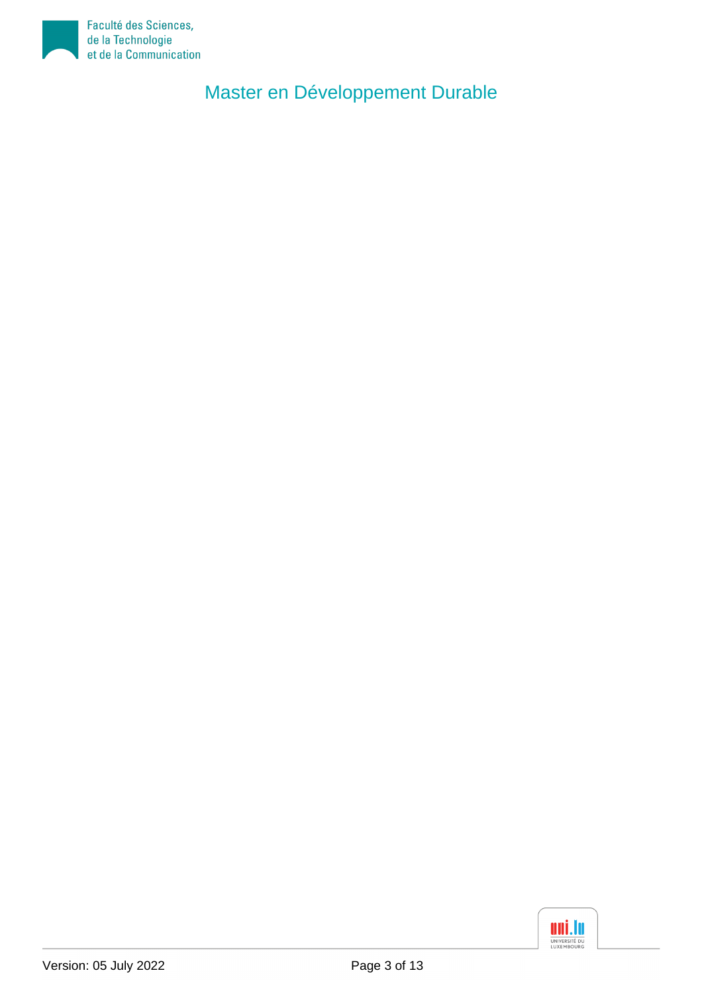

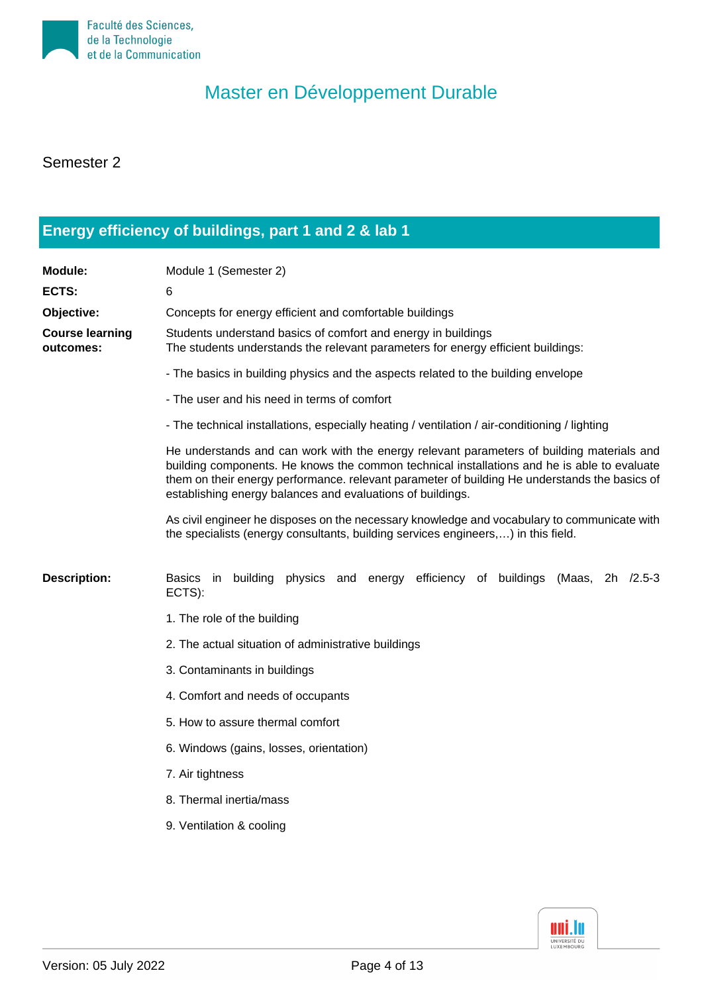

Semester 2

# **Energy efficiency of buildings, part 1 and 2 & lab 1**

| <b>Module:</b>                      | Module 1 (Semester 2)                                                                                                                                                                                                                                                                                                                                   |  |  |
|-------------------------------------|---------------------------------------------------------------------------------------------------------------------------------------------------------------------------------------------------------------------------------------------------------------------------------------------------------------------------------------------------------|--|--|
| ECTS:                               | 6                                                                                                                                                                                                                                                                                                                                                       |  |  |
| Objective:                          | Concepts for energy efficient and comfortable buildings                                                                                                                                                                                                                                                                                                 |  |  |
| <b>Course learning</b><br>outcomes: | Students understand basics of comfort and energy in buildings<br>The students understands the relevant parameters for energy efficient buildings:                                                                                                                                                                                                       |  |  |
|                                     | - The basics in building physics and the aspects related to the building envelope                                                                                                                                                                                                                                                                       |  |  |
|                                     | - The user and his need in terms of comfort                                                                                                                                                                                                                                                                                                             |  |  |
|                                     | - The technical installations, especially heating / ventilation / air-conditioning / lighting                                                                                                                                                                                                                                                           |  |  |
|                                     | He understands and can work with the energy relevant parameters of building materials and<br>building components. He knows the common technical installations and he is able to evaluate<br>them on their energy performance. relevant parameter of building He understands the basics of<br>establishing energy balances and evaluations of buildings. |  |  |
|                                     | As civil engineer he disposes on the necessary knowledge and vocabulary to communicate with<br>the specialists (energy consultants, building services engineers,) in this field.                                                                                                                                                                        |  |  |
| <b>Description:</b>                 | Basics in building physics and energy efficiency of buildings (Maas, 2h /2.5-3<br>ECTS):                                                                                                                                                                                                                                                                |  |  |
|                                     | 1. The role of the building                                                                                                                                                                                                                                                                                                                             |  |  |
|                                     | 2. The actual situation of administrative buildings                                                                                                                                                                                                                                                                                                     |  |  |
|                                     | 3. Contaminants in buildings                                                                                                                                                                                                                                                                                                                            |  |  |
|                                     | 4. Comfort and needs of occupants                                                                                                                                                                                                                                                                                                                       |  |  |
|                                     | 5. How to assure thermal comfort                                                                                                                                                                                                                                                                                                                        |  |  |
|                                     | 6. Windows (gains, losses, orientation)                                                                                                                                                                                                                                                                                                                 |  |  |
|                                     | 7. Air tightness                                                                                                                                                                                                                                                                                                                                        |  |  |
|                                     | 8. Thermal inertia/mass                                                                                                                                                                                                                                                                                                                                 |  |  |
|                                     | 9. Ventilation & cooling                                                                                                                                                                                                                                                                                                                                |  |  |

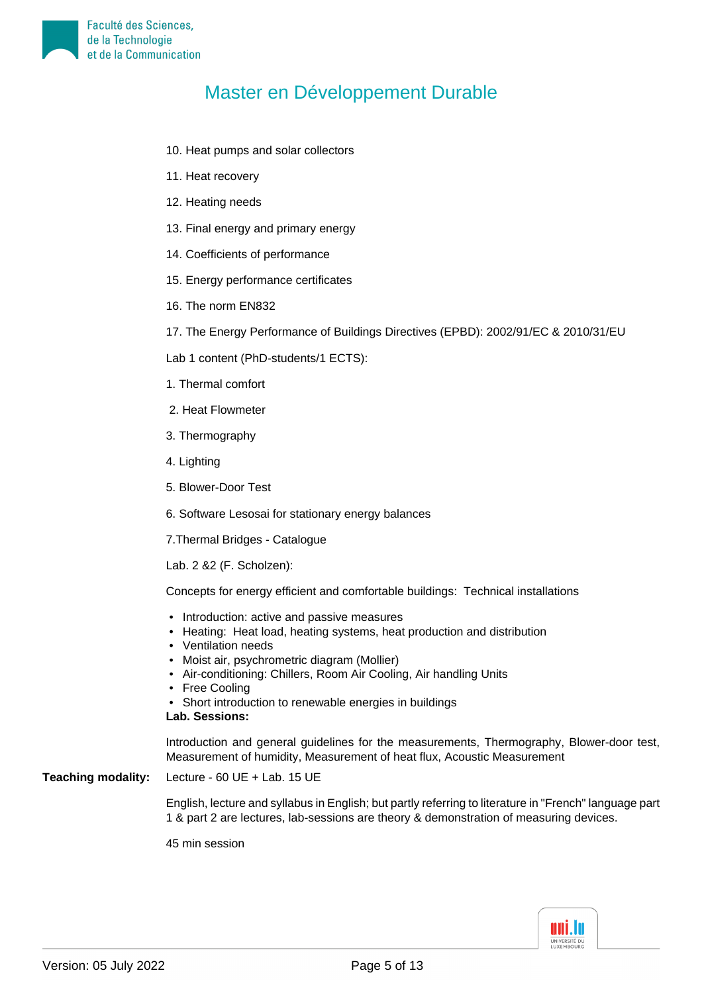

- 10. Heat pumps and solar collectors
- 11. Heat recovery
- 12. Heating needs
- 13. Final energy and primary energy
- 14. Coefficients of performance
- 15. Energy performance certificates
- 16. The norm EN832
- 17. The Energy Performance of Buildings Directives (EPBD): 2002/91/EC & 2010/31/EU

Lab 1 content (PhD-students/1 ECTS):

- 1. Thermal comfort
- 2. Heat Flowmeter
- 3. Thermography
- 4. Lighting
- 5. Blower-Door Test

6. Software Lesosai for stationary energy balances

7.Thermal Bridges - Catalogue

Lab. 2 &2 (F. Scholzen):

Concepts for energy efficient and comfortable buildings: Technical installations

- Introduction: active and passive measures
- Heating: Heat load, heating systems, heat production and distribution
- Ventilation needs
- Moist air, psychrometric diagram (Mollier)
- Air-conditioning: Chillers, Room Air Cooling, Air handling Units
- Free Cooling

• Short introduction to renewable energies in buildings

#### **Lab. Sessions:**

Introduction and general guidelines for the measurements, Thermography, Blower-door test, Measurement of humidity, Measurement of heat flux, Acoustic Measurement

#### **Teaching modality:** Lecture - 60 UE + Lab. 15 UE

English, lecture and syllabus in English; but partly referring to literature in "French" language part 1 & part 2 are lectures, lab-sessions are theory & demonstration of measuring devices.

45 min session

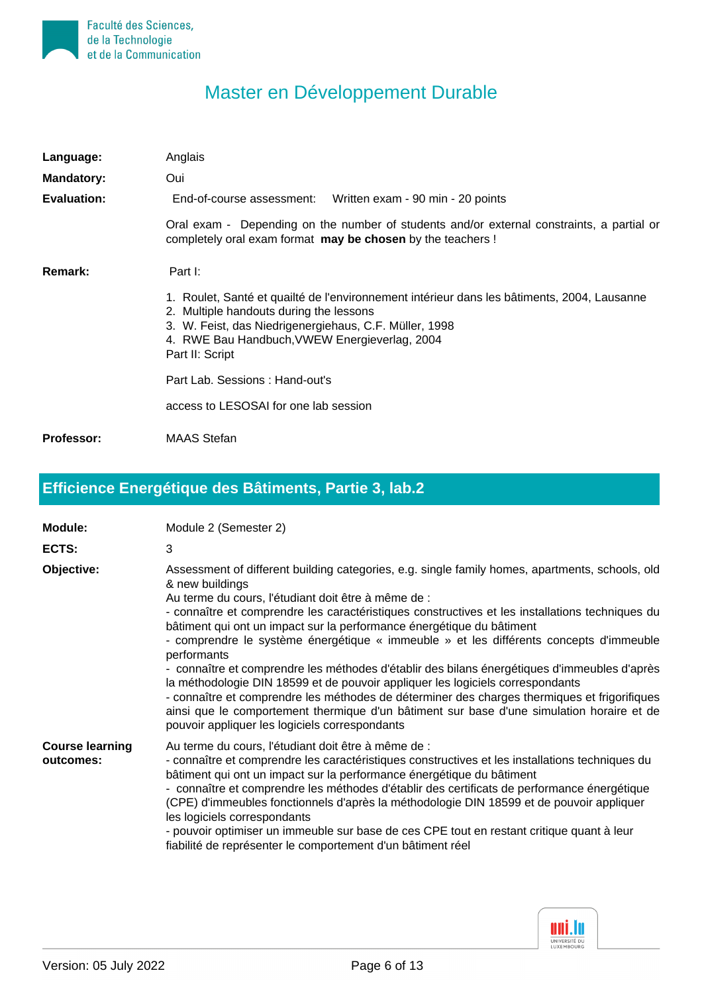

| Language:                                                                                                                                                                                                                                                            | Anglais                                                                                                                                                  |
|----------------------------------------------------------------------------------------------------------------------------------------------------------------------------------------------------------------------------------------------------------------------|----------------------------------------------------------------------------------------------------------------------------------------------------------|
| <b>Mandatory:</b>                                                                                                                                                                                                                                                    | Oui                                                                                                                                                      |
| <b>Evaluation:</b>                                                                                                                                                                                                                                                   | End-of-course assessment: Written exam - 90 min - 20 points                                                                                              |
|                                                                                                                                                                                                                                                                      | Oral exam - Depending on the number of students and/or external constraints, a partial or<br>completely oral exam format may be chosen by the teachers ! |
| <b>Remark:</b>                                                                                                                                                                                                                                                       | Part I:                                                                                                                                                  |
| 1. Roulet, Santé et quailté de l'environnement intérieur dans les bâtiments, 2004, Lausanne<br>2. Multiple handouts during the lessons<br>3. W. Feist, das Niedrigenergiehaus, C.F. Müller, 1998<br>4. RWE Bau Handbuch, VWEW Energieverlag, 2004<br>Part II: Script |                                                                                                                                                          |
|                                                                                                                                                                                                                                                                      | Part Lab. Sessions: Hand-out's                                                                                                                           |
|                                                                                                                                                                                                                                                                      | access to LESOSAI for one lab session                                                                                                                    |
| <b>Professor:</b>                                                                                                                                                                                                                                                    | <b>MAAS</b> Stefan                                                                                                                                       |

# <span id="page-5-0"></span>**[Efficience Energétique des Bâtiments, Partie 3, lab.2](#page-0-0)**

| <b>Module:</b>                      | Module 2 (Semester 2)                                                                                                                                                                                                                                                                                                                                                                                                                                                                                                                                                                                                                                                                                                                                                                                                                                                                           |
|-------------------------------------|-------------------------------------------------------------------------------------------------------------------------------------------------------------------------------------------------------------------------------------------------------------------------------------------------------------------------------------------------------------------------------------------------------------------------------------------------------------------------------------------------------------------------------------------------------------------------------------------------------------------------------------------------------------------------------------------------------------------------------------------------------------------------------------------------------------------------------------------------------------------------------------------------|
| ECTS:                               | 3                                                                                                                                                                                                                                                                                                                                                                                                                                                                                                                                                                                                                                                                                                                                                                                                                                                                                               |
| Objective:                          | Assessment of different building categories, e.g. single family homes, apartments, schools, old<br>& new buildings<br>Au terme du cours, l'étudiant doit être à même de :<br>- connaître et comprendre les caractéristiques constructives et les installations techniques du<br>bâtiment qui ont un impact sur la performance énergétique du bâtiment<br>- comprendre le système énergétique « immeuble » et les différents concepts d'immeuble<br>performants<br>- connaître et comprendre les méthodes d'établir des bilans énergétiques d'immeubles d'après<br>la méthodologie DIN 18599 et de pouvoir appliquer les logiciels correspondants<br>- connaître et comprendre les méthodes de déterminer des charges thermiques et frigorifiques<br>ainsi que le comportement thermique d'un bâtiment sur base d'une simulation horaire et de<br>pouvoir appliquer les logiciels correspondants |
| <b>Course learning</b><br>outcomes: | Au terme du cours, l'étudiant doit être à même de :<br>- connaître et comprendre les caractéristiques constructives et les installations techniques du<br>bâtiment qui ont un impact sur la performance énergétique du bâtiment<br>- connaître et comprendre les méthodes d'établir des certificats de performance énergétique<br>(CPE) d'immeubles fonctionnels d'après la méthodologie DIN 18599 et de pouvoir appliquer<br>les logiciels correspondants<br>- pouvoir optimiser un immeuble sur base de ces CPE tout en restant critique quant à leur<br>fiabilité de représenter le comportement d'un bâtiment réel                                                                                                                                                                                                                                                                          |

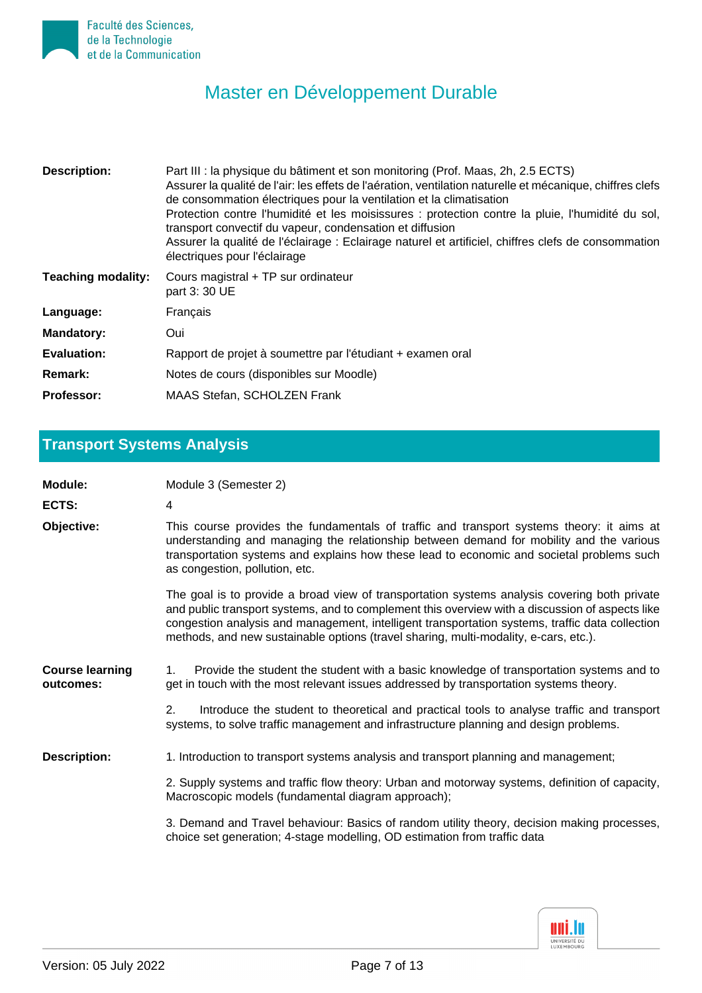

| <b>Description:</b>       | Part III : la physique du bâtiment et son monitoring (Prof. Maas, 2h, 2.5 ECTS)<br>Assurer la qualité de l'air: les effets de l'aération, ventilation naturelle et mécanique, chiffres clefs<br>de consommation électriques pour la ventilation et la climatisation<br>Protection contre l'humidité et les moisissures : protection contre la pluie, l'humidité du sol,<br>transport convectif du vapeur, condensation et diffusion<br>Assurer la qualité de l'éclairage : Eclairage naturel et artificiel, chiffres clefs de consommation<br>électriques pour l'éclairage |
|---------------------------|----------------------------------------------------------------------------------------------------------------------------------------------------------------------------------------------------------------------------------------------------------------------------------------------------------------------------------------------------------------------------------------------------------------------------------------------------------------------------------------------------------------------------------------------------------------------------|
| <b>Teaching modality:</b> | Cours magistral + TP sur ordinateur<br>part 3: 30 UE                                                                                                                                                                                                                                                                                                                                                                                                                                                                                                                       |
| Language:                 | Français                                                                                                                                                                                                                                                                                                                                                                                                                                                                                                                                                                   |
| <b>Mandatory:</b>         | Oui                                                                                                                                                                                                                                                                                                                                                                                                                                                                                                                                                                        |
| <b>Evaluation:</b>        | Rapport de projet à soumettre par l'étudiant + examen oral                                                                                                                                                                                                                                                                                                                                                                                                                                                                                                                 |
| Remark:                   | Notes de cours (disponibles sur Moodle)                                                                                                                                                                                                                                                                                                                                                                                                                                                                                                                                    |
| Professor:                | <b>MAAS Stefan, SCHOLZEN Frank</b>                                                                                                                                                                                                                                                                                                                                                                                                                                                                                                                                         |

## <span id="page-6-0"></span>**[Transport Systems Analysis](#page-0-1)**

| Module:                             | Module 3 (Semester 2)                                                                                                                                                                                                                                                                                                                                                                      |
|-------------------------------------|--------------------------------------------------------------------------------------------------------------------------------------------------------------------------------------------------------------------------------------------------------------------------------------------------------------------------------------------------------------------------------------------|
| ECTS:                               | 4                                                                                                                                                                                                                                                                                                                                                                                          |
| Objective:                          | This course provides the fundamentals of traffic and transport systems theory: it aims at<br>understanding and managing the relationship between demand for mobility and the various<br>transportation systems and explains how these lead to economic and societal problems such<br>as congestion, pollution, etc.                                                                        |
|                                     | The goal is to provide a broad view of transportation systems analysis covering both private<br>and public transport systems, and to complement this overview with a discussion of aspects like<br>congestion analysis and management, intelligent transportation systems, traffic data collection<br>methods, and new sustainable options (travel sharing, multi-modality, e-cars, etc.). |
| <b>Course learning</b><br>outcomes: | Provide the student the student with a basic knowledge of transportation systems and to<br>1.<br>get in touch with the most relevant issues addressed by transportation systems theory.                                                                                                                                                                                                    |
|                                     | Introduce the student to theoretical and practical tools to analyse traffic and transport<br>2.<br>systems, to solve traffic management and infrastructure planning and design problems.                                                                                                                                                                                                   |
| <b>Description:</b>                 | 1. Introduction to transport systems analysis and transport planning and management;                                                                                                                                                                                                                                                                                                       |
|                                     | 2. Supply systems and traffic flow theory: Urban and motorway systems, definition of capacity,<br>Macroscopic models (fundamental diagram approach);                                                                                                                                                                                                                                       |
|                                     | 3. Demand and Travel behaviour: Basics of random utility theory, decision making processes,<br>choice set generation; 4-stage modelling, OD estimation from traffic data                                                                                                                                                                                                                   |
|                                     |                                                                                                                                                                                                                                                                                                                                                                                            |

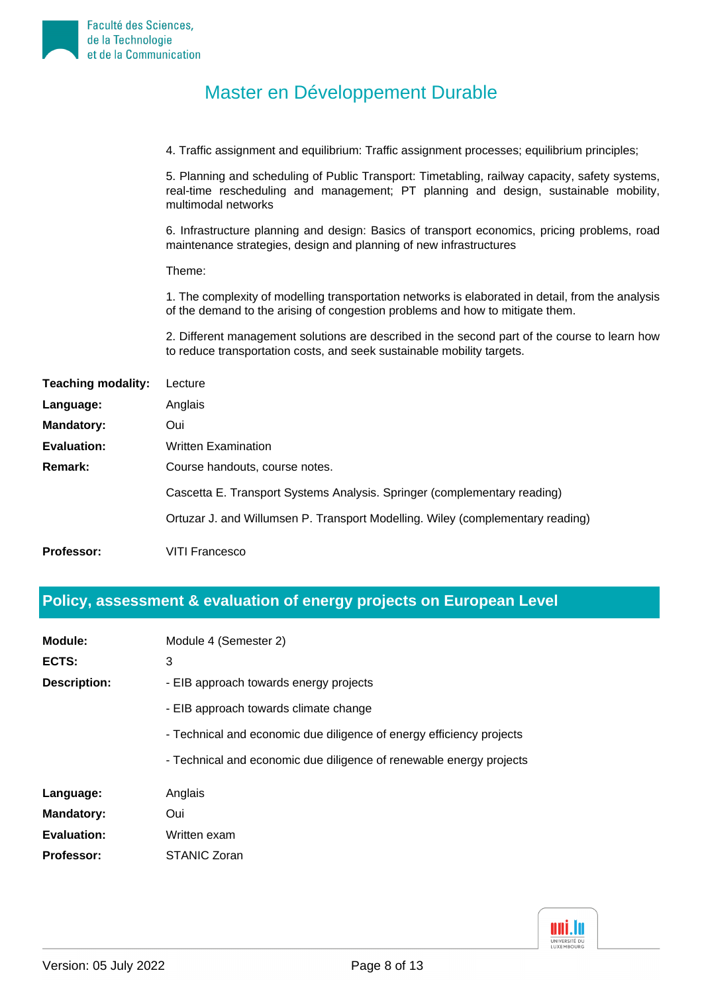

|                           | 4. Traffic assignment and equilibrium: Traffic assignment processes; equilibrium principles;                                                                                                                  |
|---------------------------|---------------------------------------------------------------------------------------------------------------------------------------------------------------------------------------------------------------|
|                           | 5. Planning and scheduling of Public Transport: Timetabling, railway capacity, safety systems,<br>real-time rescheduling and management; PT planning and design, sustainable mobility,<br>multimodal networks |
|                           | 6. Infrastructure planning and design: Basics of transport economics, pricing problems, road<br>maintenance strategies, design and planning of new infrastructures                                            |
|                           | Theme:                                                                                                                                                                                                        |
|                           | 1. The complexity of modelling transportation networks is elaborated in detail, from the analysis<br>of the demand to the arising of congestion problems and how to mitigate them.                            |
|                           | 2. Different management solutions are described in the second part of the course to learn how<br>to reduce transportation costs, and seek sustainable mobility targets.                                       |
| <b>Teaching modality:</b> | Lecture                                                                                                                                                                                                       |
| Language:                 | Anglais                                                                                                                                                                                                       |
| <b>Mandatory:</b>         | Oui                                                                                                                                                                                                           |
| <b>Evaluation:</b>        | <b>Written Examination</b>                                                                                                                                                                                    |
| Remark:                   | Course handouts, course notes.                                                                                                                                                                                |
|                           | Cascetta E. Transport Systems Analysis. Springer (complementary reading)                                                                                                                                      |
|                           | Ortuzar J. and Willumsen P. Transport Modelling. Wiley (complementary reading)                                                                                                                                |
| Professor:                | <b>VITI Francesco</b>                                                                                                                                                                                         |

### <span id="page-7-0"></span>**[Policy, assessment & evaluation of energy projects on European Level](#page-0-2)**

| Module:<br>ECTS:<br><b>Description:</b> | Module 4 (Semester 2)<br>3<br>- EIB approach towards energy projects<br>- EIB approach towards climate change<br>- Technical and economic due diligence of energy efficiency projects<br>- Technical and economic due diligence of renewable energy projects |
|-----------------------------------------|--------------------------------------------------------------------------------------------------------------------------------------------------------------------------------------------------------------------------------------------------------------|
| Language:                               | Anglais                                                                                                                                                                                                                                                      |
| <b>Mandatory:</b>                       | Oui                                                                                                                                                                                                                                                          |
| Evaluation:                             | Written exam                                                                                                                                                                                                                                                 |
| <b>Professor:</b>                       | STANIC Zoran                                                                                                                                                                                                                                                 |

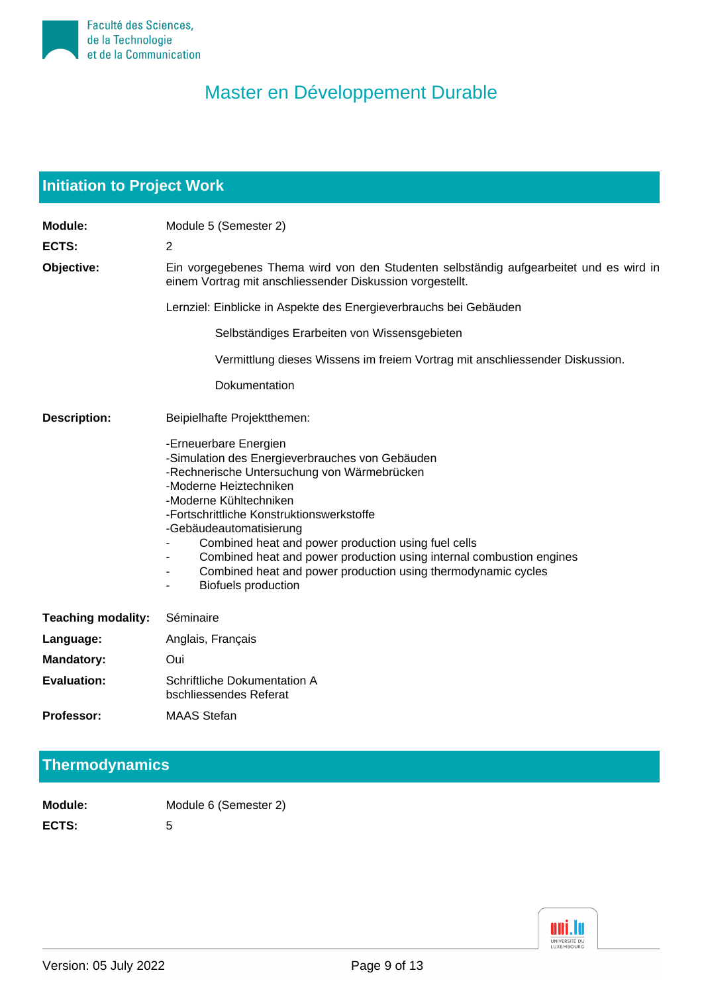

## <span id="page-8-0"></span>**[Initiation to Project Work](#page-0-3)**

| Module:                   | Module 5 (Semester 2)                                                                                                                                                                                                                                                                                                                                                                                                                                                             |
|---------------------------|-----------------------------------------------------------------------------------------------------------------------------------------------------------------------------------------------------------------------------------------------------------------------------------------------------------------------------------------------------------------------------------------------------------------------------------------------------------------------------------|
| ECTS:                     | 2                                                                                                                                                                                                                                                                                                                                                                                                                                                                                 |
| Objective:                | Ein vorgegebenes Thema wird von den Studenten selbständig aufgearbeitet und es wird in<br>einem Vortrag mit anschliessender Diskussion vorgestellt.                                                                                                                                                                                                                                                                                                                               |
|                           | Lernziel: Einblicke in Aspekte des Energieverbrauchs bei Gebäuden                                                                                                                                                                                                                                                                                                                                                                                                                 |
|                           | Selbständiges Erarbeiten von Wissensgebieten                                                                                                                                                                                                                                                                                                                                                                                                                                      |
|                           | Vermittlung dieses Wissens im freiem Vortrag mit anschliessender Diskussion.                                                                                                                                                                                                                                                                                                                                                                                                      |
|                           | Dokumentation                                                                                                                                                                                                                                                                                                                                                                                                                                                                     |
| <b>Description:</b>       | Beipielhafte Projektthemen:                                                                                                                                                                                                                                                                                                                                                                                                                                                       |
|                           | -Erneuerbare Energien<br>-Simulation des Energieverbrauches von Gebäuden<br>-Rechnerische Untersuchung von Wärmebrücken<br>-Moderne Heiztechniken<br>-Moderne Kühltechniken<br>-Fortschrittliche Konstruktionswerkstoffe<br>-Gebäudeautomatisierung<br>Combined heat and power production using fuel cells<br>Combined heat and power production using internal combustion engines<br>Combined heat and power production using thermodynamic cycles<br><b>Biofuels production</b> |
| <b>Teaching modality:</b> | Séminaire                                                                                                                                                                                                                                                                                                                                                                                                                                                                         |
| Language:                 | Anglais, Français                                                                                                                                                                                                                                                                                                                                                                                                                                                                 |
| <b>Mandatory:</b>         | Oui                                                                                                                                                                                                                                                                                                                                                                                                                                                                               |
| <b>Evaluation:</b>        | Schriftliche Dokumentation A<br>bschliessendes Referat                                                                                                                                                                                                                                                                                                                                                                                                                            |
| Professor:                | <b>MAAS</b> Stefan                                                                                                                                                                                                                                                                                                                                                                                                                                                                |

### <span id="page-8-1"></span>**[Thermodynamics](#page-0-4)**

| Module: | Module 6 (Semester 2) |
|---------|-----------------------|
| ECTS:   |                       |

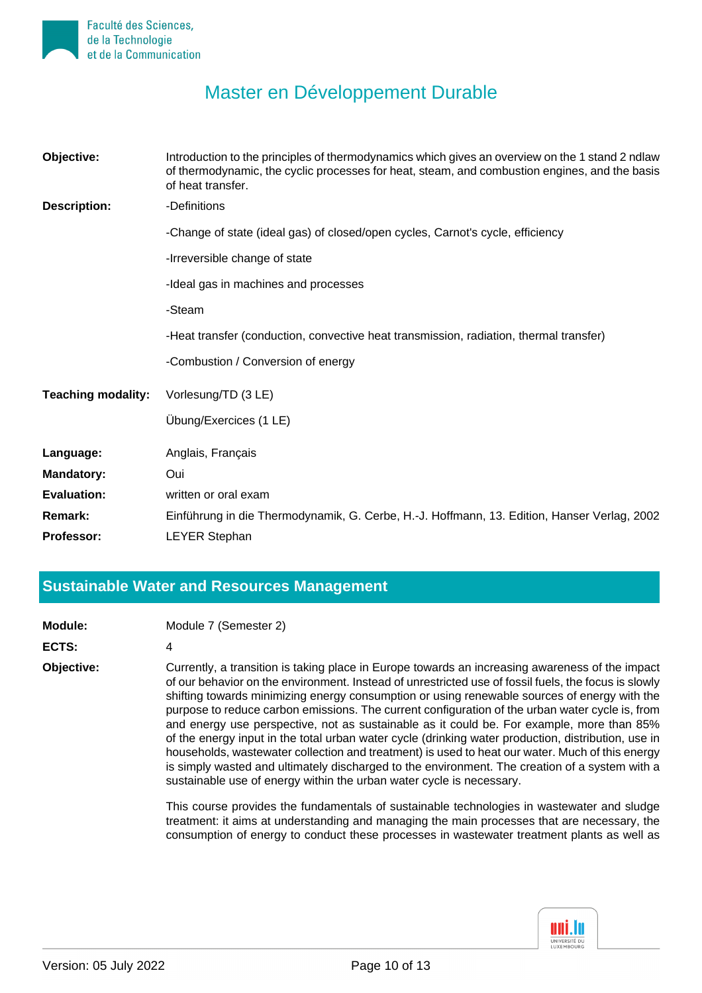

| Objective:                | Introduction to the principles of thermodynamics which gives an overview on the 1 stand 2 ndlaw<br>of thermodynamic, the cyclic processes for heat, steam, and combustion engines, and the basis<br>of heat transfer. |
|---------------------------|-----------------------------------------------------------------------------------------------------------------------------------------------------------------------------------------------------------------------|
| <b>Description:</b>       | -Definitions                                                                                                                                                                                                          |
|                           | -Change of state (ideal gas) of closed/open cycles, Carnot's cycle, efficiency                                                                                                                                        |
|                           | -Irreversible change of state                                                                                                                                                                                         |
|                           | -Ideal gas in machines and processes                                                                                                                                                                                  |
|                           | -Steam                                                                                                                                                                                                                |
|                           | -Heat transfer (conduction, convective heat transmission, radiation, thermal transfer)                                                                                                                                |
|                           | -Combustion / Conversion of energy                                                                                                                                                                                    |
| <b>Teaching modality:</b> | Vorlesung/TD (3 LE)                                                                                                                                                                                                   |
|                           | Übung/Exercices (1 LE)                                                                                                                                                                                                |
| Language:                 | Anglais, Français                                                                                                                                                                                                     |
| <b>Mandatory:</b>         | Oui                                                                                                                                                                                                                   |
| <b>Evaluation:</b>        | written or oral exam                                                                                                                                                                                                  |
| Remark:                   | Einführung in die Thermodynamik, G. Cerbe, H.-J. Hoffmann, 13. Edition, Hanser Verlag, 2002                                                                                                                           |
| <b>Professor:</b>         | <b>LEYER Stephan</b>                                                                                                                                                                                                  |

#### <span id="page-9-0"></span>**[Sustainable Water and Resources Management](#page-0-5)**

**Module:** Module 7 (Semester 2)

**ECTS:** 4

**Objective:** Currently, a transition is taking place in Europe towards an increasing awareness of the impact of our behavior on the environment. Instead of unrestricted use of fossil fuels, the focus is slowly shifting towards minimizing energy consumption or using renewable sources of energy with the purpose to reduce carbon emissions. The current configuration of the urban water cycle is, from and energy use perspective, not as sustainable as it could be. For example, more than 85% of the energy input in the total urban water cycle (drinking water production, distribution, use in households, wastewater collection and treatment) is used to heat our water. Much of this energy is simply wasted and ultimately discharged to the environment. The creation of a system with a sustainable use of energy within the urban water cycle is necessary.

> This course provides the fundamentals of sustainable technologies in wastewater and sludge treatment: it aims at understanding and managing the main processes that are necessary, the consumption of energy to conduct these processes in wastewater treatment plants as well as

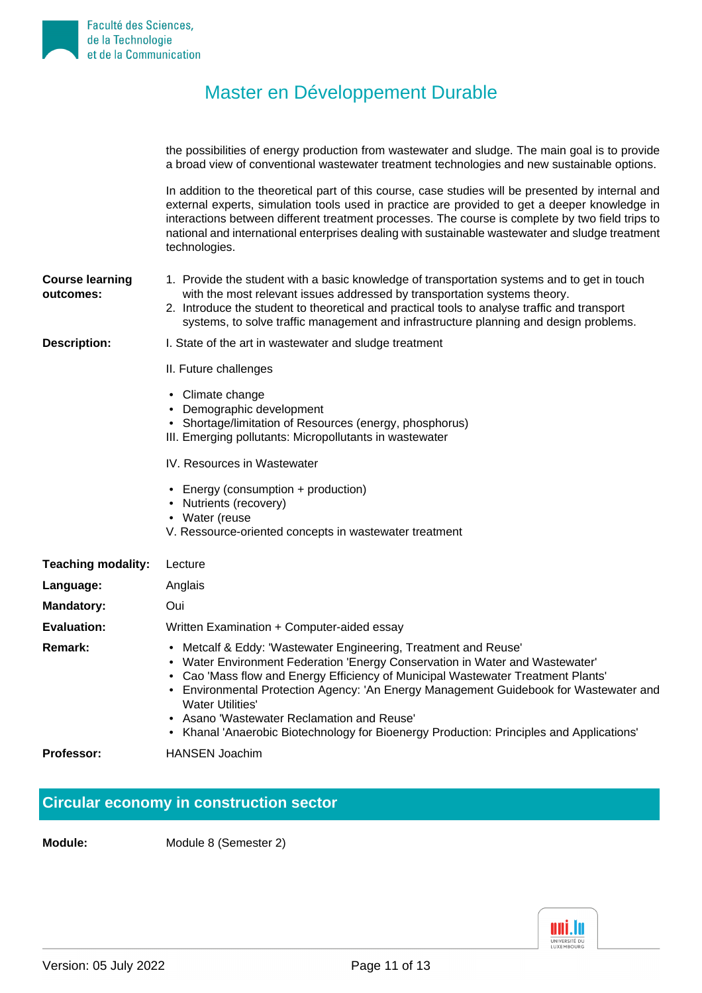

|                                     | the possibilities of energy production from wastewater and sludge. The main goal is to provide<br>a broad view of conventional wastewater treatment technologies and new sustainable options.                                                                                                                                                                                                                                                                                             |
|-------------------------------------|-------------------------------------------------------------------------------------------------------------------------------------------------------------------------------------------------------------------------------------------------------------------------------------------------------------------------------------------------------------------------------------------------------------------------------------------------------------------------------------------|
|                                     | In addition to the theoretical part of this course, case studies will be presented by internal and<br>external experts, simulation tools used in practice are provided to get a deeper knowledge in<br>interactions between different treatment processes. The course is complete by two field trips to<br>national and international enterprises dealing with sustainable wastewater and sludge treatment<br>technologies.                                                               |
| <b>Course learning</b><br>outcomes: | 1. Provide the student with a basic knowledge of transportation systems and to get in touch<br>with the most relevant issues addressed by transportation systems theory.<br>2. Introduce the student to theoretical and practical tools to analyse traffic and transport<br>systems, to solve traffic management and infrastructure planning and design problems.                                                                                                                         |
| <b>Description:</b>                 | I. State of the art in wastewater and sludge treatment                                                                                                                                                                                                                                                                                                                                                                                                                                    |
|                                     | II. Future challenges                                                                                                                                                                                                                                                                                                                                                                                                                                                                     |
|                                     | Climate change<br>٠<br>Demographic development<br>• Shortage/limitation of Resources (energy, phosphorus)<br>III. Emerging pollutants: Micropollutants in wastewater                                                                                                                                                                                                                                                                                                                      |
|                                     | IV. Resources in Wastewater                                                                                                                                                                                                                                                                                                                                                                                                                                                               |
|                                     | • Energy (consumption + production)<br>• Nutrients (recovery)<br>• Water (reuse<br>V. Ressource-oriented concepts in wastewater treatment                                                                                                                                                                                                                                                                                                                                                 |
| <b>Teaching modality:</b>           | Lecture                                                                                                                                                                                                                                                                                                                                                                                                                                                                                   |
| Language:                           | Anglais                                                                                                                                                                                                                                                                                                                                                                                                                                                                                   |
| <b>Mandatory:</b>                   | Oui                                                                                                                                                                                                                                                                                                                                                                                                                                                                                       |
| <b>Evaluation:</b>                  | Written Examination + Computer-aided essay                                                                                                                                                                                                                                                                                                                                                                                                                                                |
| Remark:                             | • Metcalf & Eddy: 'Wastewater Engineering, Treatment and Reuse'<br>• Water Environment Federation 'Energy Conservation in Water and Wastewater'<br>Cao 'Mass flow and Energy Efficiency of Municipal Wastewater Treatment Plants'<br>Environmental Protection Agency: 'An Energy Management Guidebook for Wastewater and<br><b>Water Utilities'</b><br>Asano 'Wastewater Reclamation and Reuse'<br>Khanal 'Anaerobic Biotechnology for Bioenergy Production: Principles and Applications' |
| Professor:                          | <b>HANSEN Joachim</b>                                                                                                                                                                                                                                                                                                                                                                                                                                                                     |

# <span id="page-10-0"></span>**[Circular economy in construction sector](#page-0-6)**

**Module:** Module 8 (Semester 2)

uni.lu UNIVERSITÉ DU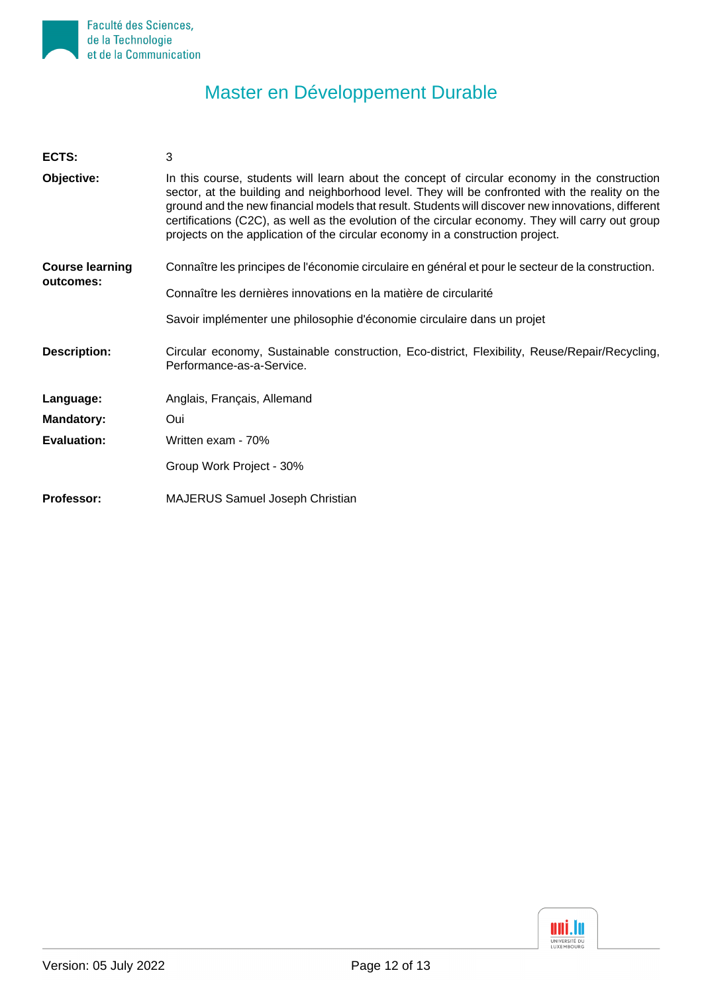

| ECTS:                               | 3                                                                                                                                                                                                                                                                                                                                                                                                                                                                                             |
|-------------------------------------|-----------------------------------------------------------------------------------------------------------------------------------------------------------------------------------------------------------------------------------------------------------------------------------------------------------------------------------------------------------------------------------------------------------------------------------------------------------------------------------------------|
| Objective:                          | In this course, students will learn about the concept of circular economy in the construction<br>sector, at the building and neighborhood level. They will be confronted with the reality on the<br>ground and the new financial models that result. Students will discover new innovations, different<br>certifications (C2C), as well as the evolution of the circular economy. They will carry out group<br>projects on the application of the circular economy in a construction project. |
| <b>Course learning</b><br>outcomes: | Connaître les principes de l'économie circulaire en général et pour le secteur de la construction.                                                                                                                                                                                                                                                                                                                                                                                            |
|                                     | Connaître les dernières innovations en la matière de circularité                                                                                                                                                                                                                                                                                                                                                                                                                              |
|                                     | Savoir implémenter une philosophie d'économie circulaire dans un projet                                                                                                                                                                                                                                                                                                                                                                                                                       |
| <b>Description:</b>                 | Circular economy, Sustainable construction, Eco-district, Flexibility, Reuse/Repair/Recycling,<br>Performance-as-a-Service.                                                                                                                                                                                                                                                                                                                                                                   |
| Language:                           | Anglais, Français, Allemand                                                                                                                                                                                                                                                                                                                                                                                                                                                                   |
| <b>Mandatory:</b>                   | Oui                                                                                                                                                                                                                                                                                                                                                                                                                                                                                           |
| <b>Evaluation:</b>                  | Written exam - 70%                                                                                                                                                                                                                                                                                                                                                                                                                                                                            |
|                                     | Group Work Project - 30%                                                                                                                                                                                                                                                                                                                                                                                                                                                                      |
| <b>Professor:</b>                   | <b>MAJERUS Samuel Joseph Christian</b>                                                                                                                                                                                                                                                                                                                                                                                                                                                        |